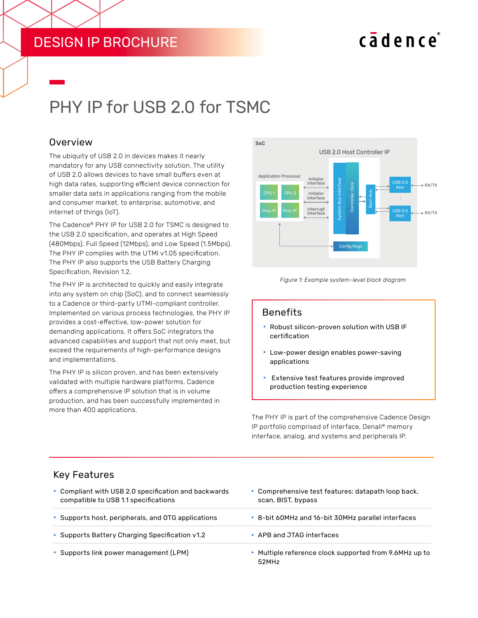# DESIGN IP BROCHURE

# cadence

# PHY IP for USB 2.0 for TSMC

#### Overview

The ubiquity of USB 2.0 in devices makes it nearly mandatory for any USB connectivity solution. The utility of USB 2.0 allows devices to have small buffers even at high data rates, supporting efficient device connection for smaller data sets in applications ranging from the mobile and consumer market, to enterprise, automotive, and internet of things (IoT).

The Cadence® PHY IP for USB 2.0 for TSMC is designed to the USB 2.0 specification, and operates at High Speed (480Mbps), Full Speed (12Mbps), and Low Speed (1.5Mbps). The PHY IP complies with the UTMI v1.05 specification. The PHY IP also supports the USB Battery Charging Specification, Revision 1.2.

The PHY IP is architected to quickly and easily integrate into any system on chip (SoC), and to connect seamlessly to a Cadence or third-party UTMI-compliant controller. Implemented on various process technologies, the PHY IP provides a cost-effective, low-power solution for demanding applications. It offers SoC integrators the advanced capabilities and support that not only meet, but exceed the requirements of high-performance designs and implementations.

The PHY IP is silicon proven, and has been extensively validated with multiple hardware platforms. Cadence offers a comprehensive IP solution that is in volume production, and has been successfully implemented in more than 400 applications.





#### Benefits

- $\blacktriangleright$  Robust silicon-proven solution with USB IF certification
- $\blacktriangleright$  Low-power design enables power-saving applications
- $\blacktriangleright$  Extensive test features provide improved production testing experience

The PHY IP is part of the comprehensive Cadence Design IP portfolio comprised of interface, Denali® memory interface, analog, and systems and peripherals IP.

#### Key Features

| • Compliant with USB 2.0 specification and backwards<br>compatible to USB 1.1 specifications | • Comprehensive test features: datapath loop back,<br>scan, BIST, bypass |  |  |
|----------------------------------------------------------------------------------------------|--------------------------------------------------------------------------|--|--|
| ▶ Supports host, peripherals, and OTG applications                                           | ▶ 8-bit 60MHz and 16-bit 30MHz parallel interfaces                       |  |  |
| Supports Battery Charging Specification v1.2                                                 | ▶ APB and JTAG interfaces                                                |  |  |
| ▶ Supports link power management (LPM)                                                       | ▶ Multiple reference clock supported from 9.6MHz up to<br>52MHz          |  |  |